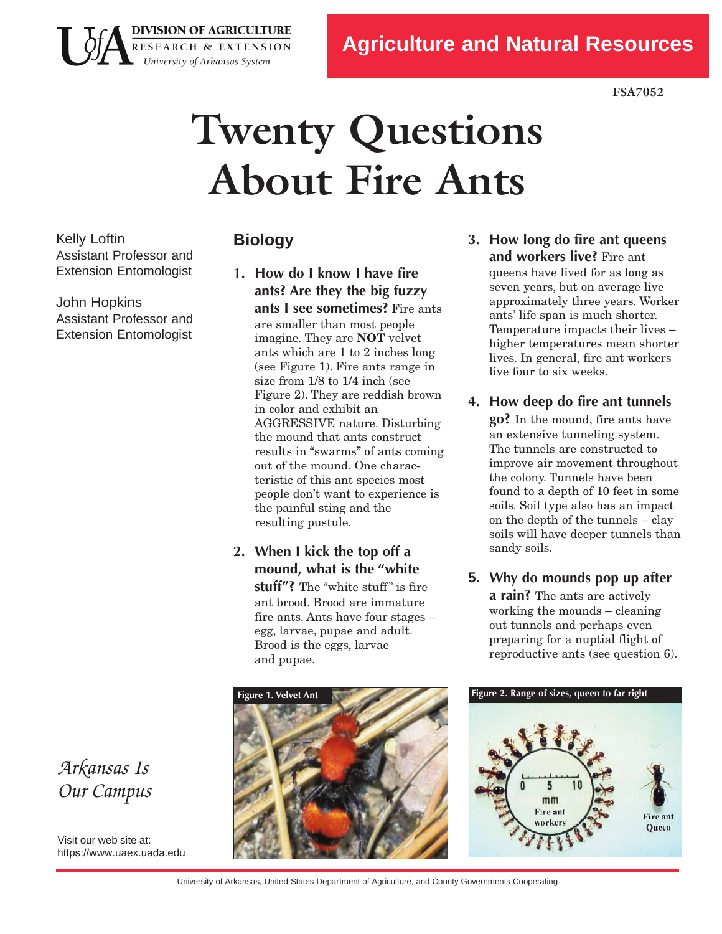**FSA7052**

# **Twenty Questions About Fire Ants**

Kelly Loftin Assistant Professor and Extension Entomologist

John Hopkins Assistant Professor and Extension Entomologist

*Arkansas Is Our Campus*

Visit our web site at: https[://www.uaex](https://www.uaex.uada.edu).uada.edu

## **Biology**

**DIVISION OF AGRICULTURE** RESEARCH & EXTENSION University of Arkansas System

- **1. How do I know I have fire ants? Are they the big fuzzy ants I see sometimes?** Fire ants are smaller than most people imagine. They are **NOT** velvet ants which are 1 to 2 inches long (see Figure 1). Fire ants range in size from 1/8 to 1/4 inch (see Figure 2). They are reddish brown in color and exhibit an AGGRESSIVE nature. Disturbing the mound that ants construct results in "swarms" of ants coming out of the mound. One characteristic of this ant species most people don't want to experience is the painful sting and the resulting pustule.
- **2. When I kick the top off a mound, what is the "white stuff"?** The "white stuff" is fire ant brood. Brood are immature fire ants. Ants have four stages – egg, larvae, pupae and adult. Brood is the eggs, larvae and pupae.



**3. How long do fire ant queens and workers live?** Fire ant

queens have lived for as long as seven years, but on average live approximately three years. Worker ants' life span is much shorter. Temperature impacts their lives – higher temperatures mean shorter lives. In general, fire ant workers live four to six weeks.

### **4. How deep do fire ant tunnels**

**go?** In the mound, fire ants have an extensive tunneling system. The tunnels are constructed to improve air movement throughout the colony. Tunnels have been found to a depth of 10 feet in some soils. Soil type also has an impact on the depth of the tunnels – clay soils will have deeper tunnels than sandy soils.

**5. Why do mounds pop up after a rain?** The ants are actively working the mounds – cleaning out tunnels and perhaps even preparing for a nuptial flight of reproductive ants (see question 6).



University of Arkansas, United States Department of Agriculture, and County Governments Cooperating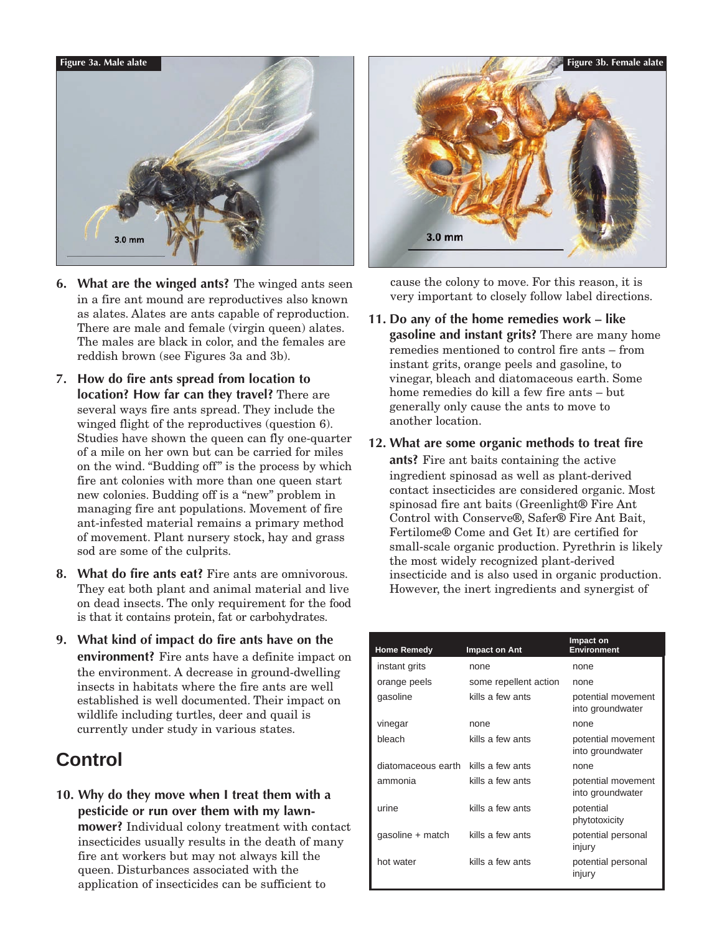

- **6. What are the winged ants?** The winged ants seen in a fire ant mound are reproductives also known as alates. Alates are ants capable of reproduction. There are male and female (virgin queen) alates. The males are black in color, and the females are reddish brown (see Figures 3a and 3b).
- **7. How do fire ants spread from location to location? How far can they travel?** There are several ways fire ants spread. They include the winged flight of the reproductives (question 6). Studies have shown the queen can fly one-quarter of a mile on her own but can be carried for miles on the wind. "Budding off" is the process by which fire ant colonies with more than one queen start new colonies. Budding off is a "new" problem in managing fire ant populations. Movement of fire ant-infested material remains a primary method of movement. Plant nursery stock, hay and grass sod are some of the culprits.
- **8. What do fire ants eat?** Fire ants are omnivorous. They eat both plant and animal material and live on dead insects. The only requirement for the food is that it contains protein, fat or carbohydrates.
- **9. What kind of impact do fire ants have on the environment?** Fire ants have a definite impact on the environment. A decrease in ground-dwelling insects in habitats where the fire ants are well established is well documented. Their impact on wildlife including turtles, deer and quail is currently under study in various states.

# **Control**

**10. Why do they move when I treat them with a pesticide or run over them with my lawnmower?** Individual colony treatment with contact insecticides usually results in the death of many fire ant workers but may not always kill the queen. Disturbances associated with the application of insecticides can be sufficient to



cause the colony to move. For this reason, it is very important to closely follow label directions.

**11. Do any ofthe home remedies work – like gasoline and instant grits?** There are many home remedies mentioned to control fire ants – from instant grits, orange peels and gasoline, to vinegar, bleach and diatomaceous earth. Some home remedies do kill a few fire ants – but generally only cause the ants to move to another location.

#### **12. What are some organic methods to treat fire**

**ants?** Fire ant baits containing the active ingredient spinosad as well as plant-derived contact insecticides are considered organic. Most spinosad fire ant baits (Greenlight® Fire Ant Control with Conserve®, Safer® Fire Ant Bait, Fertilome® Come and Get It) are certified for small-scale organic production. Pyrethrin is likely the most widely recognized plant-derived insecticide and is also used in organic production. However, the inert ingredients and synergist of

| <b>Home Remedy</b> | Impact on Ant         | Impact on<br><b>Environment</b>        |
|--------------------|-----------------------|----------------------------------------|
| instant grits      | none                  | none                                   |
| orange peels       | some repellent action | none                                   |
| gasoline           | kills a few ants      | potential movement<br>into groundwater |
| vinegar            | none                  | none                                   |
| bleach             | kills a few ants      | potential movement<br>into groundwater |
| diatomaceous earth | kills a few ants      | none                                   |
| ammonia            | kills a few ants      | potential movement<br>into groundwater |
| urine              | kills a few ants      | potential<br>phytotoxicity             |
| gasoline + match   | kills a few ants      | potential personal<br>injury           |
| hot water          | kills a few ants      | potential personal<br>injury           |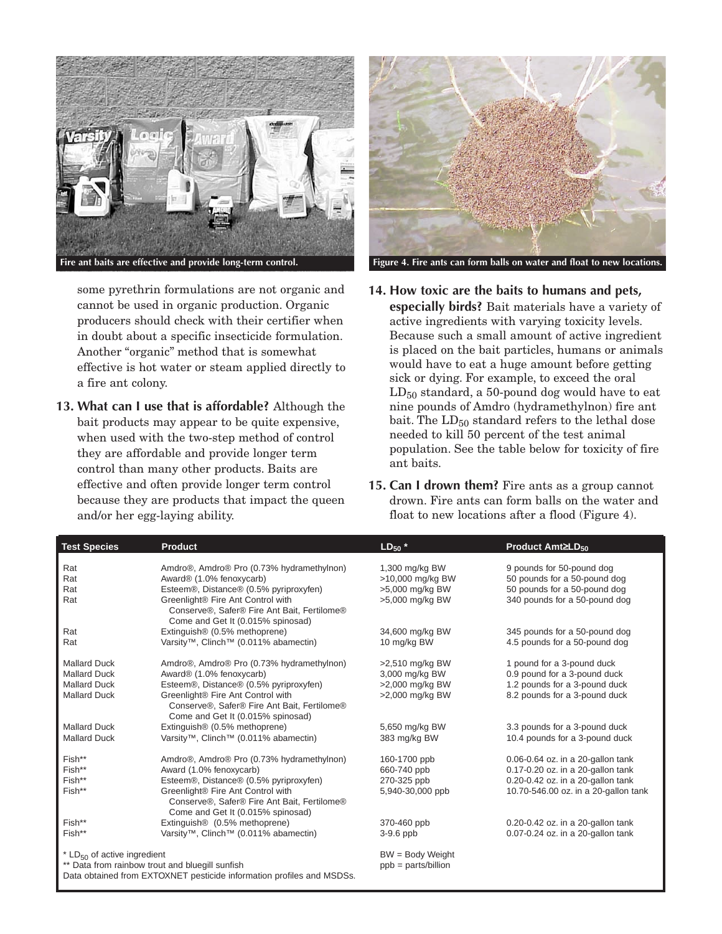

some pyrethrin formulations are not organic and cannot be used in organic production. Organic producers should check with their certifier when in doubt about a specific insecticide formulation. Another "organic" method that is somewhat effective is hot water or steam applied directly to a fire ant colony.

**13. What can I use that is affordable?** Although the bait products may appear to be quite expensive, when used with the two-step method of control they are affordable and provide longer term control than many other products. Baits are effective and often provide longer term control because they are products that impact the queen and/or her egg-laying ability.



**14. How toxic are the baits to humans and pets, especially birds?** Bait materials have a variety of active ingredients with varying toxicity levels. Because such a small amount of active ingredient is placed on the bait particles, humans or animals would have to eat a huge amount before getting sick or dying. For example, to exceed the oral  $LD_{50}$  standard, a 50-pound dog would have to eat nine pounds of Amdro (hydramethylnon) fire ant bait. The  $LD_{50}$  standard refers to the lethal dose needed to kill 50 percent of the test animal population. See the table below for toxicity of fire ant baits.

**15. Can I drown them?** Fire ants as a group cannot drown. Fire ants can form balls on the water and float to new locations after a flood (Figure 4).

| <b>Test Species</b>                                                                                                      | <b>Product</b>                                                                                                        | $LD_{50}$ *                        | Product Amt≥LD <sub>50</sub>                              |
|--------------------------------------------------------------------------------------------------------------------------|-----------------------------------------------------------------------------------------------------------------------|------------------------------------|-----------------------------------------------------------|
| Rat<br>Rat                                                                                                               | Amdro®, Amdro® Pro (0.73% hydramethylnon)<br>Award® (1.0% fenoxycarb)                                                 | 1,300 mg/kg BW<br>>10,000 mg/kg BW | 9 pounds for 50-pound dog<br>50 pounds for a 50-pound dog |
| Rat                                                                                                                      | Esteem®, Distance® (0.5% pyriproxyfen)                                                                                | >5,000 mg/kg BW                    | 50 pounds for a 50-pound dog                              |
| Rat                                                                                                                      | Greenlight® Fire Ant Control with<br>Conserve®, Safer® Fire Ant Bait, Fertilome®<br>Come and Get It (0.015% spinosad) | >5,000 mg/kg BW                    | 340 pounds for a 50-pound dog                             |
| Rat                                                                                                                      | Extinguish® (0.5% methoprene)                                                                                         | 34,600 mg/kg BW                    | 345 pounds for a 50-pound dog                             |
| Rat                                                                                                                      | Varsity <sup>™</sup> , Clinch <sup>™</sup> (0.011% abamectin)                                                         | 10 mg/kg BW                        | 4.5 pounds for a 50-pound dog                             |
| <b>Mallard Duck</b>                                                                                                      | Amdro®, Amdro® Pro (0.73% hydramethylnon)                                                                             | >2,510 mg/kg BW                    | 1 pound for a 3-pound duck                                |
| <b>Mallard Duck</b>                                                                                                      | Award® (1.0% fenoxycarb)                                                                                              | 3,000 mg/kg BW                     | 0.9 pound for a 3-pound duck                              |
| <b>Mallard Duck</b>                                                                                                      | Esteem®, Distance® (0.5% pyriproxyfen)                                                                                | >2,000 mg/kg BW                    | 1.2 pounds for a 3-pound duck                             |
| <b>Mallard Duck</b>                                                                                                      | Greenlight® Fire Ant Control with<br>Conserve®, Safer® Fire Ant Bait, Fertilome®<br>Come and Get It (0.015% spinosad) | >2,000 mg/kg BW                    | 8.2 pounds for a 3-pound duck                             |
| <b>Mallard Duck</b>                                                                                                      | Extinguish® (0.5% methoprene)                                                                                         | 5,650 mg/kg BW                     | 3.3 pounds for a 3-pound duck                             |
| <b>Mallard Duck</b>                                                                                                      | Varsity™, Clinch™ (0.011% abamectin)                                                                                  | 383 mg/kg BW                       | 10.4 pounds for a 3-pound duck                            |
| Fish**                                                                                                                   | Amdro®, Amdro® Pro (0.73% hydramethylnon)                                                                             | 160-1700 ppb                       | 0.06-0.64 oz. in a 20-gallon tank                         |
| Fish**                                                                                                                   | Award (1.0% fenoxycarb)                                                                                               | 660-740 ppb                        | 0.17-0.20 oz. in a 20-gallon tank                         |
| Fish**                                                                                                                   | Esteem®, Distance® (0.5% pyriproxyfen)                                                                                | 270-325 ppb                        | 0.20-0.42 oz. in a 20-gallon tank                         |
| Fish**                                                                                                                   | Greenlight® Fire Ant Control with<br>Conserve®, Safer® Fire Ant Bait, Fertilome®<br>Come and Get It (0.015% spinosad) | 5,940-30,000 ppb                   | 10.70-546.00 oz. in a 20-gallon tank                      |
| Fish**                                                                                                                   | Extinguish <sup>®</sup> (0.5% methoprene)                                                                             | 370-460 ppb                        | 0.20-0.42 oz. in a 20-gallon tank                         |
| Fish**                                                                                                                   | Varsity™, Clinch™ (0.011% abamectin)                                                                                  | $3-9.6$ ppb                        | 0.07-0.24 oz. in a 20-gallon tank                         |
| * $LD_{50}$ of active ingredient                                                                                         |                                                                                                                       | $BW = Body Weight$                 |                                                           |
| ** Data from rainbow trout and bluegill sunfish<br>Data obtained from EXTOXNET pesticide information profiles and MSDSs. |                                                                                                                       | $ppb = parts/b$ illion             |                                                           |